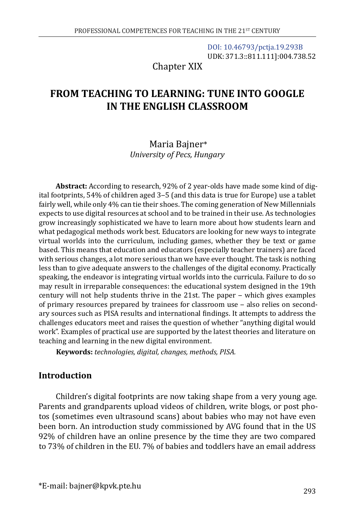[DOI: 10.46793/pctja.19.293B](https://doi.org/10.46793/pctja.19.293B) UDK: 371.3::811.111]:004.738.52

Chapter XIX

# **FROM TEACHING TO LEARNING: TUNE INTO GOOGLE IN THE ENGLISH CLASSROOM**

# Maria Bajner\* *University of Pecs, Hungary*

**Abstract:** According to research, 92% of 2 year-olds have made some kind of digital footprints, 54% of children aged 3‒5 (and this data is true for Europe) use a tablet fairly well, while only 4% can tie their shoes. The coming generation of New Millennials expects to use digital resources at school and to be trained in their use. As technologies grow increasingly sophisticated we have to learn more about how students learn and what pedagogical methods work best. Educators are looking for new ways to integrate virtual worlds into the curriculum, including games, whether they be text or game based. This means that education and educators (especially teacher trainers) are faced with serious changes, a lot more serious than we have ever thought. The task is nothing less than to give adequate answers to the challenges of the digital economy. Practically speaking, the endeavor is integrating virtual worlds into the curricula. Failure to do so may result in irreparable consequences: the educational system designed in the 19th century will not help students thrive in the 21st. The paper – which gives examples of primary resources prepared by trainees for classroom use - also relies on secondary sources such as PISA results and international findings. It attempts to address the challenges educators meet and raises the question of whether "anything digital would work". Examples of practical use are supported by the latest theories and literature on teaching and learning in the new digital environment.

**Keywords:** *technologies, digital, changes, methods, PISA.*

# **Introduction**

Children's digital footprints are now taking shape from a very young age. Parents and grandparents upload videos of children, write blogs, or post photos (sometimes even ultrasound scans) about babies who may not have even been born. An introduction study commissioned by AVG found that in the US 92% of children have an online presence by the time they are two compared to 73% of children in the EU. 7% of babies and toddlers have an email address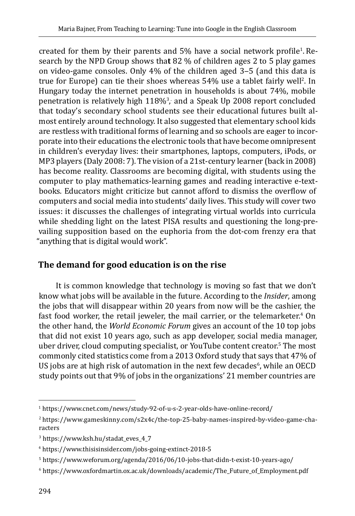created for them by their parents and 5% have a social network profile<sup>1</sup>. Research by the NPD Group shows tha**t** 82 % of children ages 2 to 5 play games on video-game consoles. Only 4% of the children aged 3‒5 (and this data is true for Europe) can tie their shoes whereas 54% use a tablet fairly well<sup>2</sup>. In Hungary today the internet penetration in households is about 74%, mobile penetration is relatively high 118%<sup>3</sup>, and a Speak Up 2008 report concluded that today's secondary school students see their educational futures built almost entirely around technology. It also suggested that elementary school kids are restless with traditional forms of learning and so schools are eager to incorporate into their educations the electronic tools that have become omnipresent in children's everyday lives: their smartphones, laptops, computers, iPods, or MP3 players (Daly 2008: 7). The vision of a 21st-century learner (back in 2008) has become reality. Classrooms are becoming digital, with students using the computer to play mathematics-learning games and reading interactive e-textbooks. Educators might criticize but cannot afford to dismiss the overflow of computers and social media into students' daily lives. This study will cover two issues: it discusses the challenges of integrating virtual worlds into curricula while shedding light on the latest PISA results and questioning the long-prevailing supposition based on the euphoria from the dot-com frenzy era that "anything that is digital would work".

# **The demand for good education is on the rise**

It is common knowledge that technology is moving so fast that we don't know what jobs will be available in the future. According to the *Insider*, among the jobs that will disappear within 20 years from now will be the cashier, the fast food worker, the retail jeweler, the mail carrier, or the telemarketer.<sup>4</sup> On the other hand, the *World Economic Forum* gives an account of the 10 top jobs that did not exist 10 years ago, such as app developer, social media manager, uber driver, cloud computing specialist, or YouTube content creator.<sup>5</sup> The most commonly cited statistics come from a 2013 Oxford study that says that 47% of US jobs are at high risk of automation in the next few decades<sup>6</sup>, while an OECD study points out that 9% of jobs in the organizations' 21 member countries are

<sup>1</sup> https://www.cnet.com/news/study-92-of-u-s-2-year-olds-have-online-record/

<sup>2</sup> ihttps://www.gameskinny.com/s2x4c/the-top-25-baby-names-inspired-by-video-game-characters

<sup>3</sup> https://www.ksh.hu/stadat\_eves\_4\_7

<sup>4</sup> https://www.thisisinsider.com/jobs-going-extinct-2018-5

<sup>5</sup> https://www.weforum.org/agenda/2016/06/10-jobs-that-didn-t-exist-10-years-ago/

<sup>6</sup> https://www.oxfordmartin.ox.ac.uk/downloads/academic/The\_Future\_of\_Employment.pdf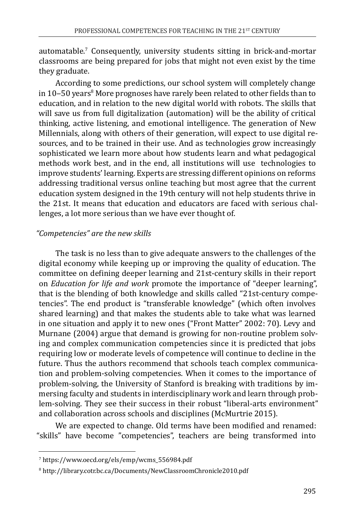automatable.<sup>7</sup> Consequently, university students sitting in brick-and-mortar classrooms are being prepared for jobs that might not even exist by the time they graduate.

According to some predictions, our school system will completely change in 10–50 years<sup>8</sup> More prognoses have rarely been related to other fields than to education, and in relation to the new digital world with robots. The skills that will save us from full digitalization (automation) will be the ability of critical thinking, active listening, and emotional intelligence. The generation of New Millennials, along with others of their generation, will expect to use digital resources, and to be trained in their use. And as technologies grow increasingly sophisticated we learn more about how students learn and what pedagogical methods work best, and in the end, all institutions will usetechnologies to improve students' learning. Experts are stressing different opinions on reforms addressing traditional versus online teaching but most agree that the current education system designed in the 19th century will not help students thrive in the 21st. It means that education and educators are faced with serious challenges, a lot more serious than we have ever thought of.

### *"Competencies" are the new skills*

The task is no less than to give adequate answers to the challenges of the digital economy while keeping up or improving the quality of education. The committee on defining deeper learning and 21st-century skills in their report on *Education for life and work* promote the importance of "deeper learning", that is the blending of both knowledge and skills called "21st-century competencies". The end product is "transferable knowledge" (which often involves shared learning) and that makes the students able to take what was learned in one situation and apply it to new ones ("Front Matter" 2002: 70). Levy and Murnane (2004) argue that demand is growing for non-routine problem solving and complex communication competencies since it is predicted that jobs requiring low or moderate levels of competence will continue to decline in the future. Thus the authors recommend that schools teach complex communication and problem-solving competencies. When it comes to the importance of problem-solving, the University of Stanford is breaking with traditions by immersing faculty and students in interdisciplinary work and learn through problem-solving. They see their success in their robust "liberal-arts environment" and collaboration across schools and disciplines (McMurtrie 2015).

We are expected to change. Old terms have been modified and renamed: "skills" have become "competencies", teachers are being transformed into

<sup>7</sup> https://www.oecd.org/els/emp/wcms\_556984.pdf

<sup>8</sup> http://library.cotr.bc.ca/Documents/NewClassroomChronicle2010.pdf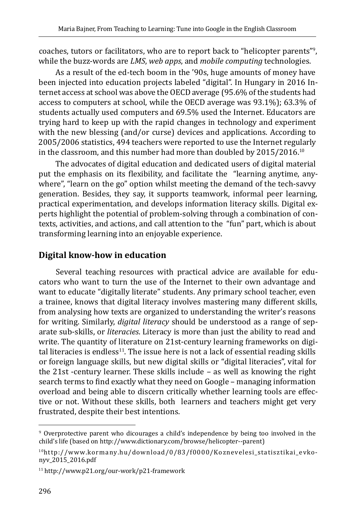coaches, tutors or facilitators, who are to report back to "helicopter parents"<sup>9</sup>, while the buzz-words are *LMS*, *web apps*, and *mobile computing* technologies.

As a result of the ed-tech boom in the '90s, huge amounts of money have been injected into education projects labeled "digital". In Hungary in 2016 Internet access at school was above the OECD average (95.6% of the students had access to computers at school, while the OECD average was 93.1%); 63.3% of students actually used computers and 69.5% used the Internet. Educators are trying hard to keep up with the rapid changes in technology and experiment with the new blessing (and/or curse) devices and applications. According to 2005/2006 statistics, 494 teachers were reported to use the Internet regularly in the classroom, and this number had more than doubled by 2015/2016.10

The advocates of digital education and dedicated users of digital material put the emphasis on its flexibility, and facilitate the "learning anytime, anywhere", "learn on the go" option whilst meeting the demand of the tech-savvy generation. Besides, they say, it supports teamwork, informal peer learning, practical experimentation, and develops information literacy skills. Digital experts highlight the potential of problem-solving through a combination of contexts, activities, and actions, and call attention to the "fun" part, which is about transforming learning into an enjoyable experience.

### **Digital know-how in education**

Several teaching resources with practical advice are available for educators who want to turn the use of the Internet to their own advantage and want to educate "digitally literate" students. Any primary school teacher, even a trainee, knows that digital literacy involves mastering many different skills, from analysing how texts are organized to understanding the writer's reasons for writing. Similarly, *digital literacy* should be understood as a range of separate sub-skills, or *literacies*. Literacy is more than just the ability to read and write. The quantity of literature on 21st-century learning frameworks on digital literacies is endless $^{11}$ . The issue here is not a lack of essential reading skills or foreign language skills, but new digital skills or "digital literacies", vital for the 21st -century learner. These skills include – as well as knowing the right search terms to find exactly what they need on Google – managing information overload and being able to discern critically whether learning tools are effective or not. Without these skills, both learners and teachers might get very frustrated, despite their best intentions.

<sup>9</sup> Overprotective parent who dicourages a child's independence by being too involved in the child's life (based on http://www.dictionary.com/browse/helicopter--parent)

<sup>10</sup>http://www.kormany.hu/download/0/83/f0000/Koznevelesi\_statisztikai\_evkonyv\_2015\_2016.pdf

<sup>11</sup> http://www.p21.org/our-work/p21-framework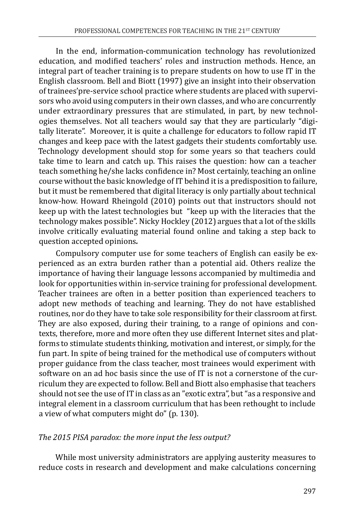In the end, information-communication technology has revolutionized education, and modified teachers' roles and instruction methods. Hence, an integral part of teacher training is to prepare students on how to use IT in the English classroom. Bell and Biott (1997) give an insight into their observation of trainees'pre-service school practice where students are placed with supervisors who avoid using computers in their own classes, and who are concurrently under extraordinary pressures that are stimulated, in part, by new technologies themselves. Not all teachers would say that they are particularly "digitally literate". Moreover, it is quite a challenge for educators to follow rapid IT changes and keep pace with the latest gadgets their students comfortably use. Technology development should stop for some years so that teachers could take time to learn and catch up. This raises the question: how can a teacher teach something he/she lacks confidence in? Most certainly, teaching an online course without the basic knowledge of IT behind it is a predisposition to failure, but it must be remembered that digital literacy is only partially about technical know-how. Howard Rheingold (2010) points out that instructors should not keep up with the latest technologies but "keep up with the literacies that the technology makes possible". Nicky Hockley (2012) argues that a lot of the skills involve critically evaluating material found online and taking a step back to question accepted opinions*.*

Compulsory computer use for some teachers of English can easily be experienced as an extra burden rather than a potential aid. Others realize the importance of having their language lessons accompanied by multimedia and look for opportunities within in-service training for professional development. Teacher trainees are often in a better position than experienced teachers to adopt new methods of teaching and learning. They do not have established routines, nor do they have to take sole responsibility for their classroom at first. They are also exposed, during their training, to a range of opinions and contexts, therefore, more and more often they use different Internet sites and platforms to stimulate students thinking, motivation and interest, or simply, for the fun part. In spite of being trained for the methodical use of computers without proper guidance from the class teacher, most trainees would experiment with software on an ad hoc basis since the use of IT is not a cornerstone of the curriculum they are expected to follow. Bell and Biott also emphasise that teachers should not see the use of IT in class as an "exotic extra", but "as a responsive and integral element in a classroom curriculum that has been rethought to include a view of what computers might do" (p. 130).

### *The 2015 PISA paradox: the more input the less output?*

While most university administrators are applying austerity measures to reduce costs in research and development and make calculations concerning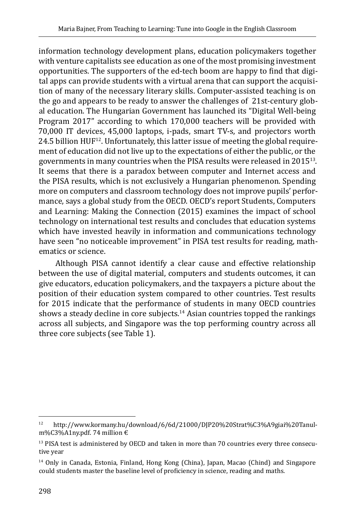information technology development plans, education policymakers together with venture capitalists see education as one of the most promising investment opportunities. The supporters of the ed-tech boom are happy to find that digital apps can provide students with a virtual arena that can support the acquisition of many of the necessary literary skills. Computer-assisted teaching is on the go and appears to be ready to answer the challenges of 21st-century global education. The Hungarian Government has launched its "Digital Well-being Program 2017" according to which 170,000 teachers will be provided with 70,000 IT devices, 45,000 laptops, i-pads, smart TV-s, and projectors worth  $24.5$  billion  $HUF^{12}$ . Unfortunately, this latter issue of meeting the global requirement of education did not live up to the expectations of either the public, or the governments in many countries when the PISA results were released in 201513. It seems that there is a paradox between computer and Internet access and the PISA results, which is not exclusively a Hungarian phenomenon. Spending more on computers and classroom technology does not improve pupils' performance, says a global study from the OECD. OECD's report Students, Computers and Learning: Making the Connection (2015) examines the impact of school technology on international test results and concludes that education systems which have invested heavily in information and communications technology have seen "no noticeable improvement" in PISA test results for reading, mathematics or science.

Although PISA cannot identify a clear cause and effective relationship between the use of digital material, computers and students outcomes, it can give educators, education policymakers, and the taxpayers a picture about the position of their education system compared to other countries. Test results for 2015 indicate that the performance of students in many OECD countries shows a steady decline in core subjects.<sup>14</sup> Asian countries topped the rankings across all subjects, and Singapore was the top performing country across all three core subjects (see Table 1).

<sup>12</sup> [http://www.kormany.hu/download/6/6d/21000/DJP20%20Strat%C3%A9giai%20Tanul](http://www.kormany.hu/download/6/6d/21000/DJP20%20Strat%C3%A9giai%20Tanulm%C3%A1ny.pdf)[m%C3%A1ny.pdf](http://www.kormany.hu/download/6/6d/21000/DJP20%20Strat%C3%A9giai%20Tanulm%C3%A1ny.pdf). 74 million €

 $13$  PISA test is administered by OECD and taken in more than 70 countries every three consecutive year

<sup>14</sup> Only in Canada, Estonia, Finland, Hong Kong (China), Japan, Macao (Chind) and Singapore could students master the baseline level of proficiency in science, reading and maths.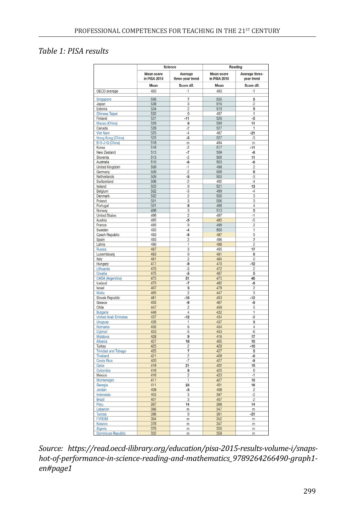#### *Table 1: PISA results*

|                                      | Science                                          |                                                   | Reading                                          |                                                  |
|--------------------------------------|--------------------------------------------------|---------------------------------------------------|--------------------------------------------------|--------------------------------------------------|
|                                      | <b>Mean score</b><br>in PISA 2015<br>Mean<br>493 | Average<br>three-year trend<br>Score dif.<br>$-1$ | <b>Mean score</b><br>in PISA 2015<br>Mean<br>493 | Average three-<br>year trend<br>Score dif.<br>-1 |
|                                      |                                                  |                                                   |                                                  |                                                  |
| OECD average                         |                                                  |                                                   |                                                  |                                                  |
| Singapore                            | 556                                              | $\overline{7}$                                    | 535                                              | 5                                                |
| Japan                                | 538                                              | 3                                                 | 516                                              | $-2$                                             |
| Estonia                              | 534                                              | $\overline{c}$                                    | 519                                              | 9                                                |
| <b>Chinese Taipei</b>                | 532                                              | $\overline{0}$                                    | 497                                              | 1                                                |
| Finland                              | 531                                              | $-11$                                             | 526                                              | $-5$                                             |
| Macao (China)                        | 529                                              | $6\overline{6}$                                   | 509                                              | $\overline{11}$                                  |
| Canada                               | 528                                              | $-2$                                              | 527                                              | 1                                                |
| <b>Viet Nam</b>                      | 525<br>523                                       | $-4$<br>$-5$                                      | 487<br>527                                       | $-21$<br>$-3$                                    |
| Hong Kong (China)<br>B-S-J-G (China) | 518                                              | m                                                 | 494                                              | m                                                |
| Korea                                | 516                                              | $-2$                                              | 517                                              | $-11$                                            |
| New Zealand                          | 513                                              | $-7$                                              | 509                                              | $-6$                                             |
| Slovenia                             | 513                                              | $-2$                                              | 505                                              | 11                                               |
| Australia                            | 510                                              | $-6$                                              | 503                                              | $-6$                                             |
| United Kingdom                       | 509                                              | -1                                                | 498                                              | $\overline{c}$                                   |
| Germany                              | 509                                              | $-2$                                              | 509                                              | 6                                                |
| Netherlands                          | 509                                              | $-5$                                              | 503                                              | $-3$                                             |
| Switzerland                          | 506                                              | $-2$                                              | 492                                              | $-4$                                             |
| Ireland                              | 503                                              | 0                                                 | 521                                              | 13                                               |
| Belgium                              | 502                                              | $-3$<br>$\overline{2}$                            | 499<br>500                                       | $-4$<br>$\overline{3}$                           |
| Denmark                              | 502<br>501                                       | 3                                                 | 506                                              | 3                                                |
| Poland<br>Portugal                   | 501                                              | 8                                                 | 498                                              | $\overline{4}$                                   |
| Norway                               | 498                                              | $\overline{3}$                                    | 513                                              | 5                                                |
| <b>United States</b>                 | 496                                              | $\overline{2}$                                    | 497                                              | $-1$                                             |
| Austria                              | 495                                              | $-5$                                              | 485                                              | $-5$                                             |
| France                               | 495                                              | 0                                                 | 499                                              | $\overline{c}$                                   |
| Sweden                               | 493                                              | $-4$                                              | 500                                              | 1                                                |
| Czech Republic                       | 493                                              | $-5$                                              | 487                                              | 5                                                |
| Spain                                | 493                                              | $\overline{2}$                                    | 496                                              | $\overline{7}$                                   |
| Latvia                               | 490                                              | 1                                                 | 488                                              | $\overline{2}$                                   |
| Russia                               | 487                                              | 3                                                 | 495                                              | 17                                               |
| Luxembourg                           | 483                                              | $\overline{0}$                                    | 481                                              | 5                                                |
| Italy                                | 481                                              | $\overline{c}$                                    | 485                                              | $\overline{0}$                                   |
| Hungary<br>Lithuania                 | 477<br>475                                       | -9<br>$-3$                                        | 470<br>472                                       | $-12$<br>$\overline{c}$                          |
| Croatia                              | 475                                              | $-5$                                              | 487                                              | 5                                                |
| CABA (Argentina)                     | 475                                              | 51                                                | 475                                              | 46                                               |
| Iceland                              | 473                                              | $-7$                                              | 482                                              | -9                                               |
| Israel                               | 467                                              | 5                                                 | 479                                              | $\overline{2}$                                   |
| Malta                                | 465                                              | $\overline{2}$                                    | 447                                              | 3                                                |
| Slovak Republic                      | 461                                              | $-10$                                             | 453                                              | $-12$                                            |
| Greece                               | 455                                              | $-6$                                              | 467                                              | $-8$                                             |
| Chile                                | 447                                              | $\overline{c}$                                    | 459                                              | 5                                                |
| <b>Bulgaria</b>                      | 446                                              | 4                                                 | 432                                              | 1                                                |
| <b>United Arab Emirates</b>          | 437<br>435                                       | $-12$                                             | 434                                              | $-8$<br>5                                        |
| Uruguay<br>Romania                   | 435                                              | 1<br>$\overline{6}$                               | 437<br>434                                       | $\overline{4}$                                   |
| <b>Cyprus</b>                        | 433                                              | $-5$                                              | 443                                              | $-6$                                             |
| Moldova                              | 428                                              | 9                                                 | 416                                              | 17                                               |
| Albania                              | 427                                              | 18                                                | 405                                              | 10                                               |
| Turkey                               | 425                                              | 2                                                 | 428                                              | $-18$                                            |
| <b>Trinidad and Tobago</b>           | 425                                              | 7                                                 | 427                                              | 5                                                |
| Thailand                             | 421                                              | $\overline{2}$                                    | 409                                              | -6                                               |
| Costa Rica                           | 420                                              | $-7$                                              | 427                                              | $-9$                                             |
| Qatar                                | 418                                              | 21                                                | 402                                              | 15                                               |
| Colombia                             | 416                                              | 8                                                 | 425                                              | $\overline{6}$                                   |
| Mexico                               | 416<br>411                                       | $\overline{c}$<br>$\overline{1}$                  | 423<br>427                                       | $-1$<br>10                                       |
| Montenegro<br>Georgia                | 411                                              | 23                                                | 401                                              | 16                                               |
| Jordan                               | 409                                              | $-5$                                              | 408                                              | $\overline{2}$                                   |
| Indonesia                            | 403                                              | 3                                                 | 397                                              | $-2$                                             |
| Brazil                               | 401                                              | 3                                                 | 407                                              | $-2$                                             |
| Peru                                 | 397                                              | 14                                                | 398                                              | 14                                               |
| Lebanon                              | 386                                              | m                                                 | 347                                              | m                                                |
| Tunisia                              | 386                                              | $\mathbf 0$                                       | 361                                              | $-21$                                            |
| <b>FYROM</b>                         | 384                                              | m                                                 | 352                                              | m                                                |
| Kosovo                               | 378                                              | m                                                 | 347                                              | m                                                |
| Algeria                              | 376                                              | m                                                 | 350                                              | m                                                |
| Dominican Republic                   | 332                                              | m                                                 | 358                                              | m                                                |

*Source: https://read.oecd-ilibrary.org/education/pisa-2015-results-volume-i/snapshot-of-performance-in-science-reading-and-mathematics\_9789264266490-graph1 en#page1*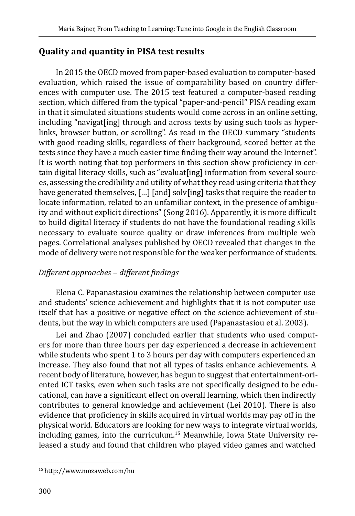# **Quality and quantity in PISA test results**

In 2015 the OECD moved from paper-based evaluation to computer-based evaluation, which raised the issue of comparability based on country differences with computer use. The 2015 test featured a computer-based reading section, which differed from the typical "paper-and-pencil" PISA reading exam in that it simulated situations students would come across in an online setting, including "navigat[ing] through and across texts by using such tools as hyperlinks, browser button, or scrolling". As read in the OECD summary "students with good reading skills, regardless of their background, scored better at the tests since they have a much easier time finding their way around the Internet". It is worth noting that top performers in this section show proficiency in certain digital literacy skills, such as "evaluat[ing] information from several sources, assessing the credibility and utility of what they read using criteria that they have generated themselves, [...] [and] solv[ing] tasks that require the reader to locate information, related to an unfamiliar context, in the presence of ambiguity and without explicit directions" (Song 2016). Apparently, it is more difficult to build digital literacy if students do not have the foundational reading skills necessary to evaluate source quality or draw inferences from multiple web pages. Correlational analyses published by OECD revealed that changes in the mode of delivery were not responsible for the weaker performance of students.

### *Different approaches ‒ different findings*

[Elena C. Papanastasiou](https://www.learntechlib.org/author/Elena+C+Papanastasiou) examines the relationship between computer use and students' science achievement and highlights that it is not computer use itself that has a positive or negative effect on the science achievement of students, but the way in which computers are used (Papanastasiou et al. 2003).

Lei and Zhao (2007) concluded earlier that students who used computers for more than three hours per day experienced a decrease in achievement while students who spent 1 to 3 hours per day with computers experienced an increase. They also found that not all types of tasks enhance achievements. A recent body of literature, however, has begun to suggest that entertainment-oriented ICT tasks, even when such tasks are not specifically designed to be educational, can have a significant effect on overall learning, which then indirectly contributes to general knowledge and achievement (Lei 2010). There is also evidence that proficiency in skills acquired in virtual worlds may pay off in the physical world. Educators are looking for new ways to integrate virtual worlds, including games, into the curriculum.15 Meanwhile, Iowa State University released a study and found that children who played video games and watched

<sup>15</sup> http://www.mozaweb.com/hu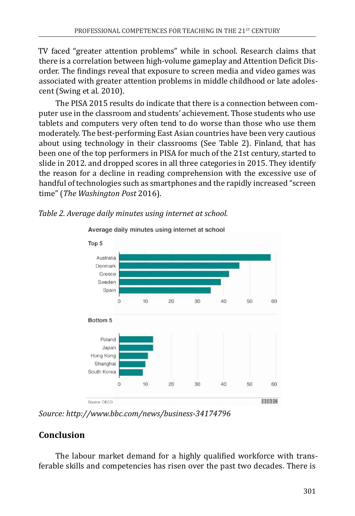TV faced "greater attention problems" while in school. Research claims that there is a correlation between high-volume gameplay and Attention Deficit Disorder. The findings reveal that exposure to screen media and video games was associated with greater attention problems in middle childhood or late adolescent (Swing et al. 2010).

The PISA 2015 results do indicate that there is a connection between computer use in the classroom and students' achievement. Those students who use tablets and computers very often tend to do worse than those who use them moderately. The best-performing East Asian countries have been very cautious about using technology in their classrooms (See Table 2). Finland, that has been one of the top performers in PISA for much of the 21st century, started to slide in 2012. and dropped scores in all three categories in 2015. They identify the reason for a decline in reading comprehension with the excessive use of handful of technologies such as smartphones and the rapidly increased "screen time" (*The Washington Post* 2016).

### *Table 2. Average daily minutes using internet at school.*



Average daily minutes using internet at school

*Source:<http://www.bbc.com/news/business-34174796>*

# **Conclusion**

The labour market demand for a highly qualified workforce with transferable skills and competencies has risen over the past two decades. There is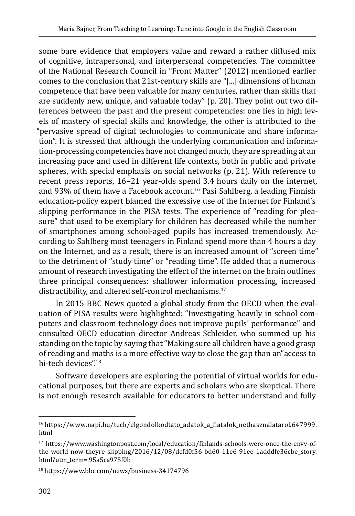some bare evidence that employers value and reward a rather diffused mix of cognitive, intrapersonal, and interpersonal competencies. The committee of the National Research Council in "Front Matter" (2012) mentioned earlier comes to the conclusion that 21st-century skills are "[...] dimensions of human competence that have been valuable for many centuries, rather than skills that are suddenly new, unique, and valuable today" (p. 20). They point out two differences between the past and the present competencies: one lies in high levels of mastery of special skills and knowledge, the other is attributed to the "pervasive spread of digital technologies to communicate and share information". It is stressed that although the underlying communication and information-processing competencies have not changed much, they are spreading at an increasing pace and used in different life contexts, both in public and private spheres, with special emphasis on social networks (p. 21). With reference to recent press reports, 16–21 year-olds spend 3.4 hours daily on the internet, and 93% of them have a Facebook account.<sup>16</sup> Pasi Sahlberg, a leading Finnish education-policy expert blamed the excessive use of the Internet for Finland's slipping performance in the PISA tests. The experience of "reading for pleasure" that used to be exemplary for children has decreased while the number of smartphones among school-aged pupils has increased tremendously. According to Sahlberg most teenagers in Finland spend more than 4 hours a day on the Internet, and as a result, there is an increased amount of "screen time" to the detriment of "study time" or "reading time". He added that a numerous amount of research investigating the effect of the internet on the brain outlines three principal consequences: shallower information processing, increased distractibility, and altered self-control mechanisms.<sup>17</sup>

In 2015 BBC News quoted a global study from the OECD when the evaluation of PISA results were highlighted: "Investigating heavily in school computers and classroom technology does not improve pupils' performance" and consulted OECD education director Andreas Schleider, who summed up his standing on the topic by saying that "Making sure all children have a good grasp of reading and maths is a more effective way to close the gap than an"access to hi-tech devices".<sup>18</sup>

Software developers are exploring the potential of virtual worlds for educational purposes, but there are experts and scholars who are skeptical. There is not enough research available for educators to better understand and fully

 $16$ https://www.napi.hu/tech/elgondolkodtato adatok a fiatalok nethasznalatarol.647999. html

<sup>17</sup> https://www.washingtonpost.com/local/education/finlands-schools-were-once-the-envy-ofthe-world-now-theyre-slipping/2016/12/08/dcfd0f56-bd60-11e6-91ee-1adddfe36cbe\_story. html?utm\_term=.95a5ca975f0b

<sup>18</sup> https://www.bbc.com/news/business-34174796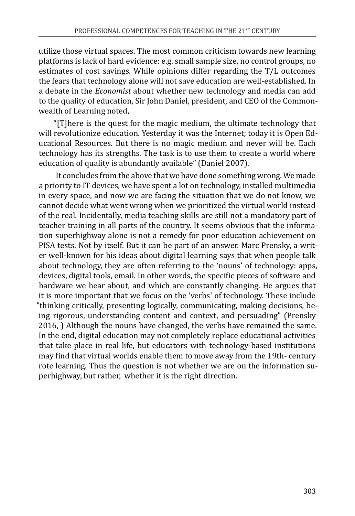utilize those virtual spaces. The most common criticism towards new learning platforms is lack of hard evidence: e.g. small sample size, no control groups, no estimates of cost savings. While opinions differ regarding the T/L outcomes the fears that technology alone will not save education are well-established. In a debate in the *Economist* about whether new technology and media can add to the quality of education, Sir John Daniel, president, and CEO of the Commonwealth of Learning noted,

"[T]here is the quest for the magic medium, the ultimate technology that will revolutionize education. Yesterday it was the Internet; today it is Open Educational Resources. But there is no magic medium and never will be. Each technology has its strengths. The task is to use them to create a world where education of quality is abundantly available" (Daniel 2007).

It concludes from the above that we have done something wrong. We made a priority to IT devices, we have spent a lot on technology, installed multimedia in every space, and now we are facing the situation that we do not know, we cannot decide what went wrong when we prioritized the virtual world instead of the real. Incidentally, media teaching skills are still not a mandatory part of teacher training in all parts of the country. It seems obvious that the information superhighway alone is not a remedy for poor education achievement on PISA tests. Not by itself. But it can be part of an answer. Marc Prensky, a writer well-known for his ideas about digital learning says that when people talk about technology, they are often referring to the 'nouns' of technology: apps, devices, digital tools, email. In other words, the specific pieces of software and hardware we hear about, and which are constantly changing. He argues that it is more important that we focus on the 'verbs' of technology. These include "thinking critically, presenting logically, communicating, making decisions, being rigorous, understanding content and context, and persuading" (Prensky 2016, ) Although the nouns have changed, the verbs have remained the same. In the end, digital education may not completely replace educational activities that take place in real life, but educators with technology-based institutions may find that virtual worlds enable them to move away from the 19th- century rote learning. Thus the question is not whether we are on the information superhighway, but rather, whether it is the right direction.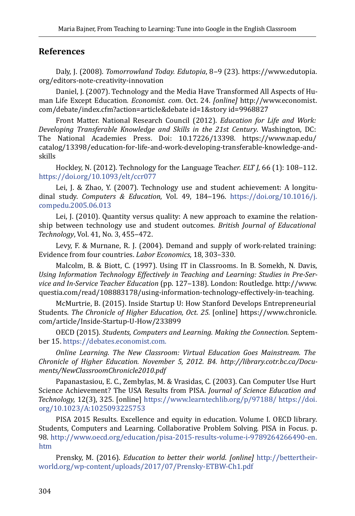#### **References**

Daly, J. (2008). *Tomorrowland Today. Edutopia*, 8‒9 (23). [https://www.edutopia.](https://www.edutopia.org/editors-note-creativity-innovation) [org/editors-note-creativity-innovation](https://www.edutopia.org/editors-note-creativity-innovation)

Daniel, J. (2007). Technology and the Media Have Transformed All Aspects of Human Life Except Education*. Economist. com*. Oct. 24. *[online]* http://www.economist. com/debate/index.cfm?action=article&debate id=1&story id=9968827

Front Matter. National Research Council (2012). *Education for Life and Work: Developing Transferable Knowledge and Skills in the 21st Century*. Washington, DC: The National Academies Press. Doi: 10.17226/13398. [https://www.nap.edu/](https://www.nap.edu/catalog/13398/education-for-life-and-work-developing-transferable-knowledge-and-skills) [catalog/13398/education-for-life-and-work-developing-transferable-knowledge-and](https://www.nap.edu/catalog/13398/education-for-life-and-work-developing-transferable-knowledge-and-skills)[skills](https://www.nap.edu/catalog/13398/education-for-life-and-work-developing-transferable-knowledge-and-skills)

Hockley, N. (2012). Technology for the Language Teacher. ELT J, 66 (1): 108-112. <https://doi.org/10.1093/elt/ccr077>

Lei, J. & Zhao, Y. (2007). Technology use and student achievement: A longitudinal study. *Computers & Education*, Vol. 49, 184‒196. [https://doi.org/10.1016/j.](https://doi.org/10.1016/j.compedu.2005.06.013) [compedu.2005.06.013](https://doi.org/10.1016/j.compedu.2005.06.013)

Lei, J. (2010). Quantity versus quality: A new approach to examine the relationship between technology use and student outcomes. *British Journal of Educational Technology*, Vol. 41, No. 3, 455-472.

Levy, F. & Murnane, R. J. (2004). Demand and supply of work-related training: Evidence from four countries. *Labor Economics*, 18, 303–330.

Malcolm, B. & Biott, C. (1997). Using IT in Classrooms. In B. Somekh, N. Davis, *Using Information Technology Effectively in Teaching and Learning: Studies in Pre-Service and In-Service Teacher Education* (pp. 127‒138). London: Routledge. http://www. questia.com/read/108883178/using-information-technology-effectively-in-teaching.

McMurtrie, B. (2015). Inside Startup U: How Stanford Develops Entrepreneurial Students. *The Chronicle of Higher Education, Oct. 25.* [online] [https://www.chronicle.](https://www.chronicle.com/article/Inside-Startup-U-How/233899) [com/article/Inside-Startup-U-How/233899](https://www.chronicle.com/article/Inside-Startup-U-How/233899) 

OECD (2015). *Students, Computers and Learning. Making the Connection.* September 15. [https://debates.economist.com.](https://debates.economist.com) 

*Online Learning. The New Classroom: Virtual Education Goes Mainstream. The Chronicle of Higher Education. November 5, 2012. B4. h[ttp://library.cotr.bc.ca/Docu](http://library.cotr.bc.ca/Documents/NewClassroomChronicle2010.pdf)[ments/NewClassroomChronicle2010.pdf](http://library.cotr.bc.ca/Documents/NewClassroomChronicle2010.pdf)* 

Papanastasiou, E. C., Zembylas, M. & Vrasidas, C. (2003). Can Computer Use Hurt Science Achievement? The USA Results from PISA. *Journal of Science Education and Technology,* 12(3), 325. [online] <https://www.learntechlib.org/p/97188/> [https://doi.](https://doi.org/10.1023/A:1025093225753) [org/10.1023/A:1025093225753](https://doi.org/10.1023/A:1025093225753)

PISA 2015 Results. Excellence and equity in education. Volume I. OECD library. Students, Computers and Learning. Collaborative Problem Solving. PISA in Focus. p. 98. [http://www.oecd.org/education/pisa-2015-results-volume-i-9789264266490-en.](http://www.oecd.org/education/pisa-2015-results-volume-i-9789264266490-en.htm%20%0D) [htm](http://www.oecd.org/education/pisa-2015-results-volume-i-9789264266490-en.htm%20%0D) 

Prensky, M. (2016). *Education to better their world*. *[online]* [http://bettertheir](http://bettertheirworld.org/wp-content/uploads/2017/07/Prensky-ETBW-Ch1.pdf%20%0D)[world.org/wp-content/uploads/2017/07/Prensky-ETBW-Ch1.pdf](http://bettertheirworld.org/wp-content/uploads/2017/07/Prensky-ETBW-Ch1.pdf%20%0D)